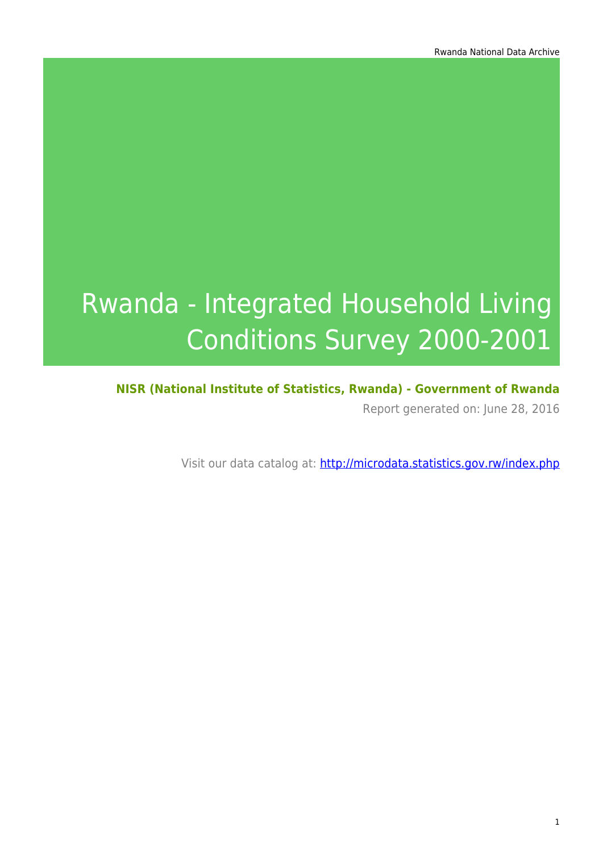# Rwanda - Integrated Household Living Conditions Survey 2000-2001

**NISR (National Institute of Statistics, Rwanda) - Government of Rwanda**

Report generated on: June 28, 2016

Visit our data catalog at: http://microdata.statistics.gov.rw/index.php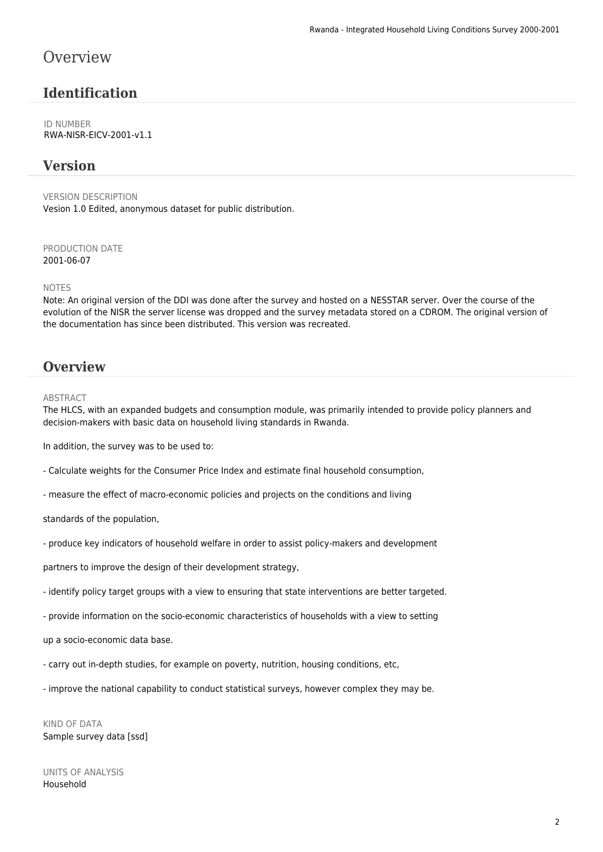# **Overview**

# **Identification**

ID NUMBER RWA-NISR-EICV-2001-v1.1

### **Version**

VERSION DESCRIPTION Vesion 1.0 Edited, anonymous dataset for public distribution.

PRODUCTION DATE 2001-06-07

NOTES

Note: An original version of the DDI was done after the survey and hosted on a NESSTAR server. Over the course of the evolution of the NISR the server license was dropped and the survey metadata stored on a CDROM. The original version of the documentation has since been distributed. This version was recreated.

### **Overview**

#### ABSTRACT

The HLCS, with an expanded budgets and consumption module, was primarily intended to provide policy planners and decision-makers with basic data on household living standards in Rwanda.

In addition, the survey was to be used to:

- Calculate weights for the Consumer Price Index and estimate final household consumption,

- measure the effect of macro-economic policies and projects on the conditions and living

standards of the population,

- produce key indicators of household welfare in order to assist policy-makers and development

partners to improve the design of their development strategy,

- identify policy target groups with a view to ensuring that state interventions are better targeted.

- provide information on the socio-economic characteristics of households with a view to setting

up a socio-economic data base.

- carry out in-depth studies, for example on poverty, nutrition, housing conditions, etc,

- improve the national capability to conduct statistical surveys, however complex they may be.

KIND OF DATA Sample survey data [ssd]

UNITS OF ANALYSIS Household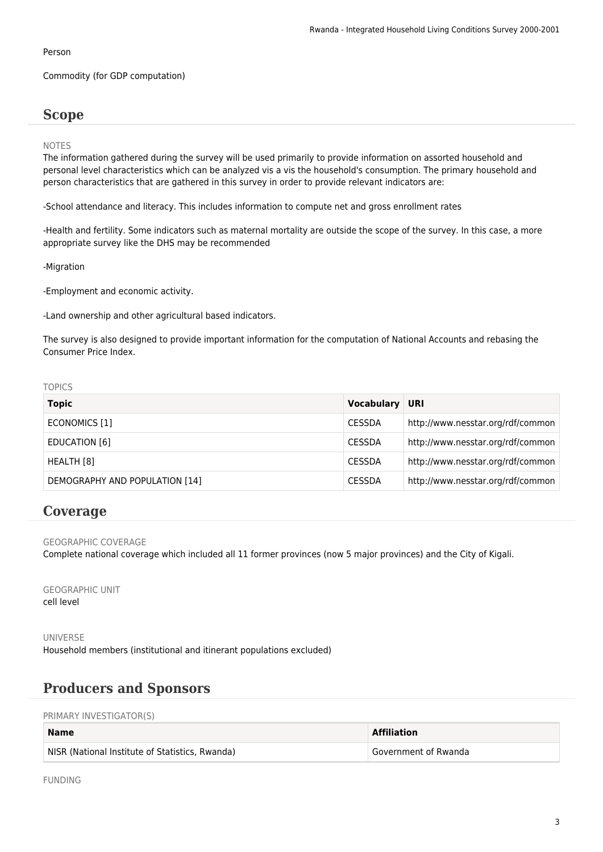Person

Commodity (for GDP computation)

### **Scope**

NOTES

The information gathered during the survey will be used primarily to provide information on assorted household and personal level characteristics which can be analyzed vis a vis the household's consumption. The primary household and person characteristics that are gathered in this survey in order to provide relevant indicators are:

-School attendance and literacy. This includes information to compute net and gross enrollment rates

-Health and fertility. Some indicators such as maternal mortality are outside the scope of the survey. In this case, a more appropriate survey like the DHS may be recommended

-Migration

-Employment and economic activity.

-Land ownership and other agricultural based indicators.

The survey is also designed to provide important information for the computation of National Accounts and rebasing the Consumer Price Index.

TOPICS

| Topic                          | <b>Vocabulary</b> | URI                               |
|--------------------------------|-------------------|-----------------------------------|
| ECONOMICS [1]                  | CESSDA            | http://www.nesstar.org/rdf/common |
| <b>EDUCATION</b> [6]           | CESSDA            | http://www.nesstar.org/rdf/common |
| HEALTH [8]                     | <b>CESSDA</b>     | http://www.nesstar.org/rdf/common |
| DEMOGRAPHY AND POPULATION [14] | <b>CESSDA</b>     | http://www.nesstar.org/rdf/common |

#### **Coverage**

#### GEOGRAPHIC COVERAGE

Complete national coverage which included all 11 former provinces (now 5 major provinces) and the City of Kigali.

GEOGRAPHIC UNIT cell level

UNIVERSE Household members (institutional and itinerant populations excluded)

### **Producers and Sponsors**

PRIMARY INVESTIGATOR(S)

| <b>Name</b>                                     | <b>Affiliation</b>   |
|-------------------------------------------------|----------------------|
| NISR (National Institute of Statistics, Rwanda) | Government of Rwanda |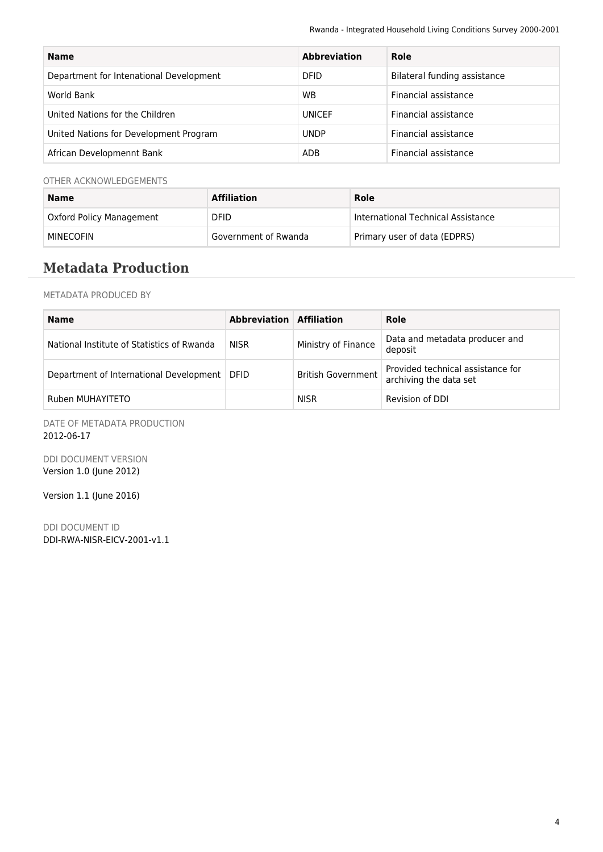| <b>Name</b>                             | <b>Abbreviation</b> | Role                         |
|-----------------------------------------|---------------------|------------------------------|
| Department for Intenational Development | <b>DFID</b>         | Bilateral funding assistance |
| World Bank                              | <b>WB</b>           | Financial assistance         |
| United Nations for the Children         | <b>UNICEF</b>       | Financial assistance         |
| United Nations for Development Program  | <b>UNDP</b>         | Financial assistance         |
| African Developmennt Bank               | <b>ADB</b>          | Financial assistance         |

OTHER ACKNOWLEDGEMENTS

| <b>Name</b>              | <b>Affiliation</b>   | Role                               |
|--------------------------|----------------------|------------------------------------|
| Oxford Policy Management | DFID.                | International Technical Assistance |
| MINFCOFIN                | Government of Rwanda | Primary user of data (EDPRS)       |

# **Metadata Production**

METADATA PRODUCED BY

| <b>Name</b>                                | Abbreviation Affiliation |                           | Role                                                        |
|--------------------------------------------|--------------------------|---------------------------|-------------------------------------------------------------|
| National Institute of Statistics of Rwanda | <b>NISR</b>              | Ministry of Finance       | Data and metadata producer and<br>deposit                   |
| Department of International Development    | DFID                     | <b>British Government</b> | Provided technical assistance for<br>archiving the data set |
| Ruben MUHAYITETO                           |                          | <b>NISR</b>               | Revision of DDI                                             |

DATE OF METADATA PRODUCTION 2012-06-17

DDI DOCUMENT VERSION Version 1.0 (June 2012)

Version 1.1 (June 2016)

DDI DOCUMENT ID DDI-RWA-NISR-EICV-2001-v1.1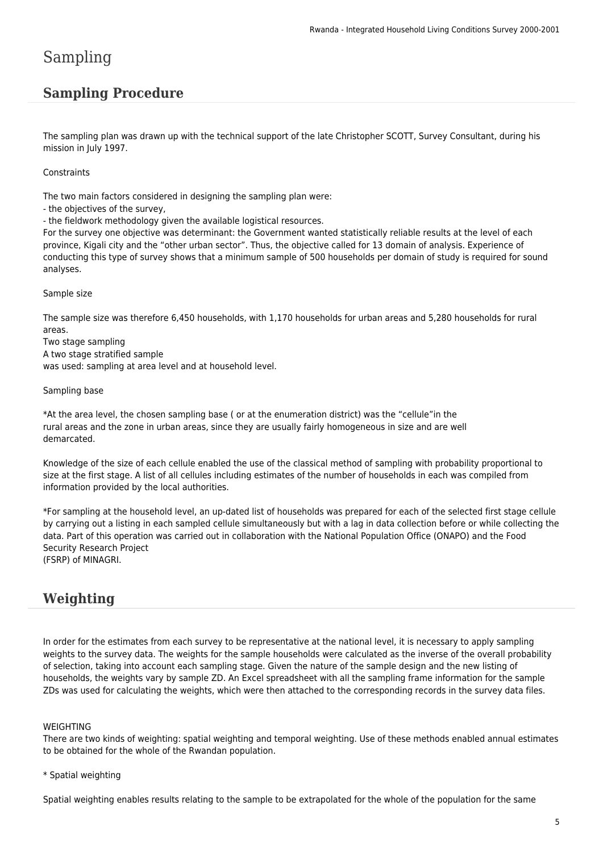# Sampling

# **Sampling Procedure**

The sampling plan was drawn up with the technical support of the late Christopher SCOTT, Survey Consultant, during his mission in July 1997.

**Constraints** 

The two main factors considered in designing the sampling plan were:

- the objectives of the survey,

- the fieldwork methodology given the available logistical resources.

For the survey one objective was determinant: the Government wanted statistically reliable results at the level of each province, Kigali city and the "other urban sector". Thus, the objective called for 13 domain of analysis. Experience of conducting this type of survey shows that a minimum sample of 500 households per domain of study is required for sound analyses.

Sample size

The sample size was therefore 6,450 households, with 1,170 households for urban areas and 5,280 households for rural areas.

Two stage sampling A two stage stratified sample was used: sampling at area level and at household level.

#### Sampling base

\*At the area level, the chosen sampling base ( or at the enumeration district) was the "cellule"in the rural areas and the zone in urban areas, since they are usually fairly homogeneous in size and are well demarcated.

Knowledge of the size of each cellule enabled the use of the classical method of sampling with probability proportional to size at the first stage. A list of all cellules including estimates of the number of households in each was compiled from information provided by the local authorities.

\*For sampling at the household level, an up-dated list of households was prepared for each of the selected first stage cellule by carrying out a listing in each sampled cellule simultaneously but with a lag in data collection before or while collecting the data. Part of this operation was carried out in collaboration with the National Population Office (ONAPO) and the Food Security Research Project (FSRP) of MINAGRI.

# **Weighting**

In order for the estimates from each survey to be representative at the national level, it is necessary to apply sampling weights to the survey data. The weights for the sample households were calculated as the inverse of the overall probability of selection, taking into account each sampling stage. Given the nature of the sample design and the new listing of households, the weights vary by sample ZD. An Excel spreadsheet with all the sampling frame information for the sample ZDs was used for calculating the weights, which were then attached to the corresponding records in the survey data files.

#### WEIGHTING

There are two kinds of weighting: spatial weighting and temporal weighting. Use of these methods enabled annual estimates to be obtained for the whole of the Rwandan population.

#### \* Spatial weighting

Spatial weighting enables results relating to the sample to be extrapolated for the whole of the population for the same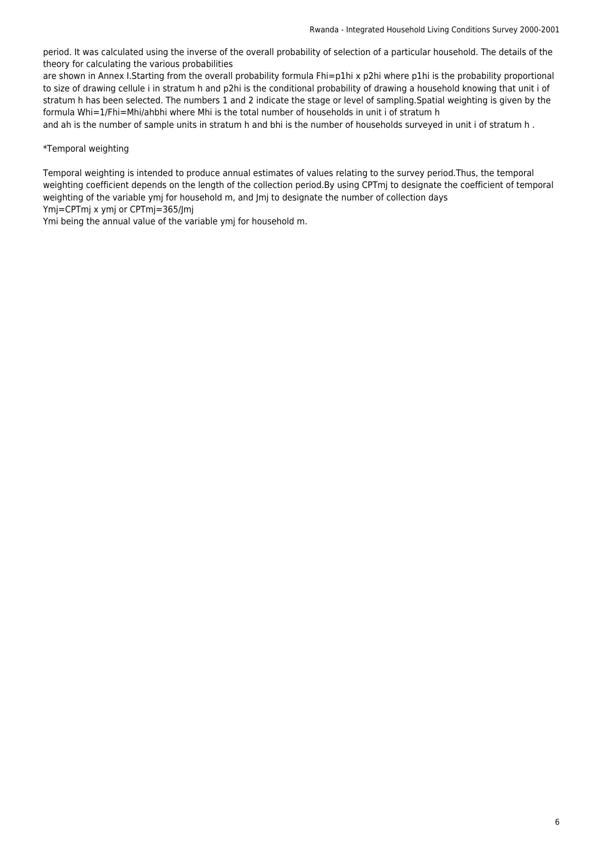period. It was calculated using the inverse of the overall probability of selection of a particular household. The details of the theory for calculating the various probabilities

are shown in Annex I.Starting from the overall probability formula Fhi=p1hi x p2hi where p1hi is the probability proportional to size of drawing cellule i in stratum h and p2hi is the conditional probability of drawing a household knowing that unit i of stratum h has been selected. The numbers 1 and 2 indicate the stage or level of sampling.Spatial weighting is given by the formula Whi=1/Fhi=Mhi/ahbhi where Mhi is the total number of households in unit i of stratum h

and ah is the number of sample units in stratum h and bhi is the number of households surveyed in unit i of stratum h.

#### \*Temporal weighting

Temporal weighting is intended to produce annual estimates of values relating to the survey period.Thus, the temporal weighting coefficient depends on the length of the collection period.By using CPTmj to designate the coefficient of temporal weighting of the variable ymj for household m, and Jmj to designate the number of collection days Ymj=CPTmj x ymj or CPTmj=365/Jmj

Ymi being the annual value of the variable ymj for household m.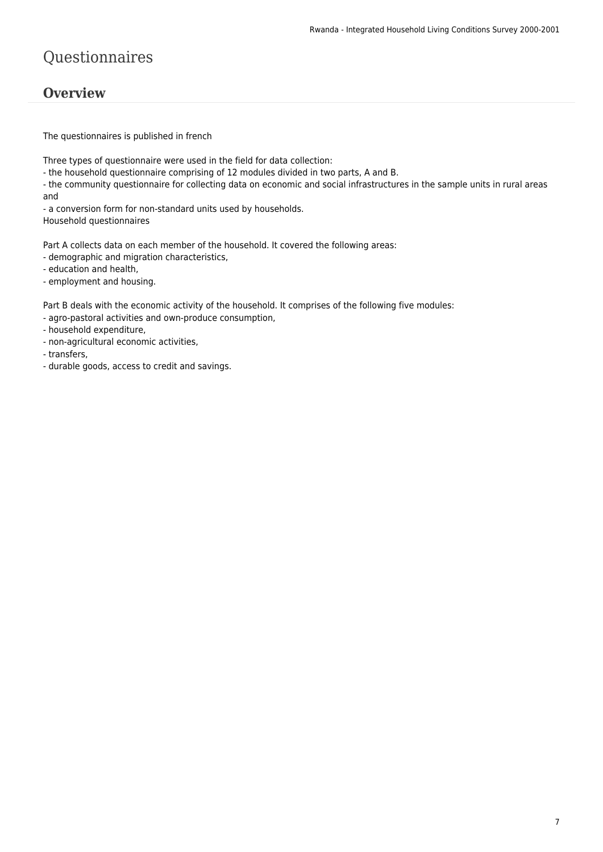# Questionnaires

# **Overview**

The questionnaires is published in french

Three types of questionnaire were used in the field for data collection:

- the household questionnaire comprising of 12 modules divided in two parts, A and B.
- the community questionnaire for collecting data on economic and social infrastructures in the sample units in rural areas and
- a conversion form for non-standard units used by households.

Household questionnaires

Part A collects data on each member of the household. It covered the following areas:

- demographic and migration characteristics,
- education and health,
- employment and housing.

Part B deals with the economic activity of the household. It comprises of the following five modules:

- agro-pastoral activities and own-produce consumption,
- household expenditure,
- non-agricultural economic activities,
- transfers,
- durable goods, access to credit and savings.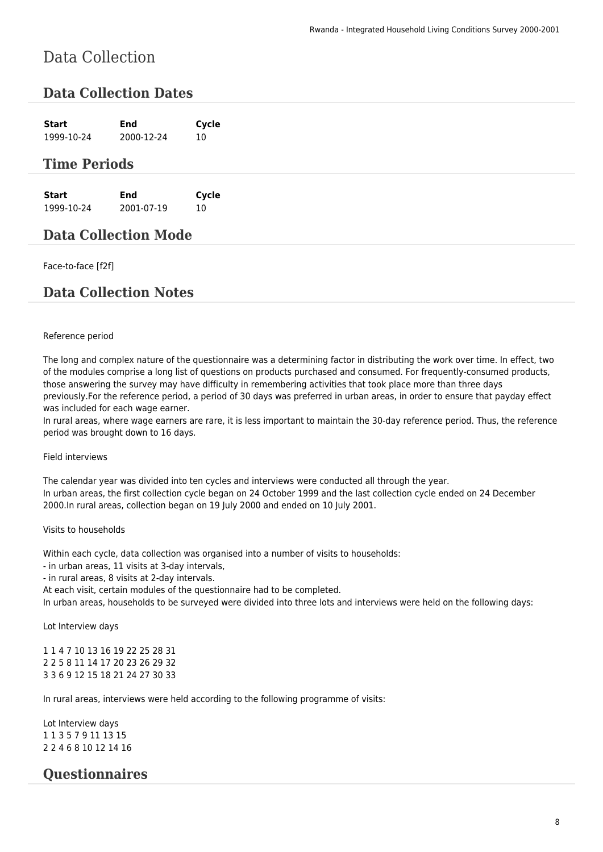# Data Collection

# **Data Collection Dates**

| Start      | End        | Cycle |
|------------|------------|-------|
| 1999-10-24 | 2000-12-24 | 10    |

### **Time Periods**

| Start      | End        | Cycle |
|------------|------------|-------|
| 1999-10-24 | 2001-07-19 | 10    |

### **Data Collection Mode**

Face-to-face [f2f]

### **Data Collection Notes**

#### Reference period

The long and complex nature of the questionnaire was a determining factor in distributing the work over time. In effect, two of the modules comprise a long list of questions on products purchased and consumed. For frequently-consumed products, those answering the survey may have difficulty in remembering activities that took place more than three days previously.For the reference period, a period of 30 days was preferred in urban areas, in order to ensure that payday effect was included for each wage earner.

In rural areas, where wage earners are rare, it is less important to maintain the 30-day reference period. Thus, the reference period was brought down to 16 days.

#### Field interviews

The calendar year was divided into ten cycles and interviews were conducted all through the year. In urban areas, the first collection cycle began on 24 October 1999 and the last collection cycle ended on 24 December 2000.In rural areas, collection began on 19 July 2000 and ended on 10 July 2001.

#### Visits to households

Within each cycle, data collection was organised into a number of visits to households:

- in urban areas, 11 visits at 3-day intervals,

- in rural areas, 8 visits at 2-day intervals.

At each visit, certain modules of the questionnaire had to be completed.

In urban areas, households to be surveyed were divided into three lots and interviews were held on the following days:

Lot Interview days

1 1 4 7 10 13 16 19 22 25 28 31 2 2 5 8 11 14 17 20 23 26 29 32 3 3 6 9 12 15 18 21 24 27 30 33

In rural areas, interviews were held according to the following programme of visits:

Lot Interview days 1 1 3 5 7 9 11 13 15 2 2 4 6 8 10 12 14 16

# **Questionnaires**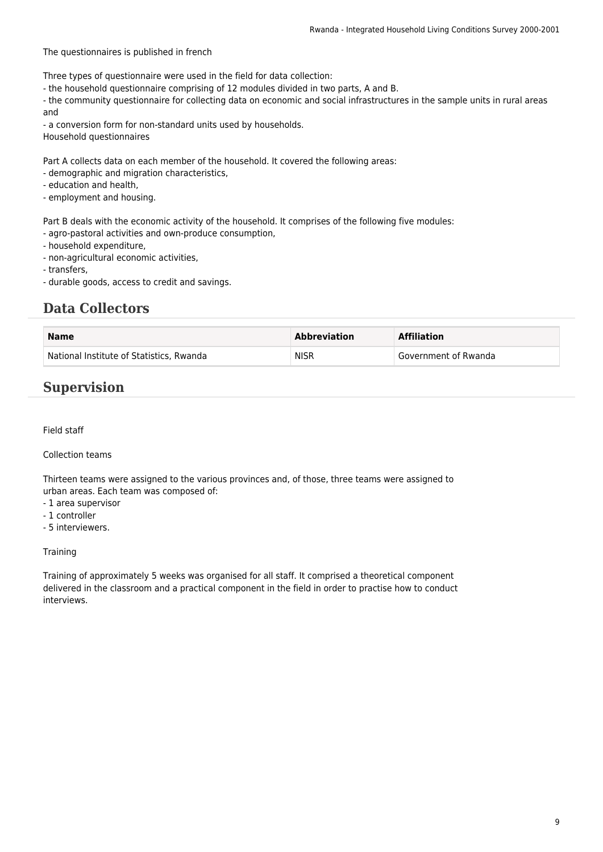The questionnaires is published in french

Three types of questionnaire were used in the field for data collection:

- the household questionnaire comprising of 12 modules divided in two parts, A and B.

- the community questionnaire for collecting data on economic and social infrastructures in the sample units in rural areas and

- a conversion form for non-standard units used by households.

Household questionnaires

Part A collects data on each member of the household. It covered the following areas:

- demographic and migration characteristics,

- education and health,
- employment and housing.

Part B deals with the economic activity of the household. It comprises of the following five modules:

- agro-pastoral activities and own-produce consumption,

- household expenditure,
- non-agricultural economic activities,
- transfers,

- durable goods, access to credit and savings.

# **Data Collectors**

| <b>Name</b>                              | <b>Abbreviation</b> | <b>Affiliation</b>   |
|------------------------------------------|---------------------|----------------------|
| National Institute of Statistics, Rwanda | <b>NISR</b>         | Government of Rwanda |

### **Supervision**

Field staff

#### Collection teams

Thirteen teams were assigned to the various provinces and, of those, three teams were assigned to urban areas. Each team was composed of:

- 1 area supervisor
- 1 controller
- 5 interviewers.

**Training** 

Training of approximately 5 weeks was organised for all staff. It comprised a theoretical component delivered in the classroom and a practical component in the field in order to practise how to conduct interviews.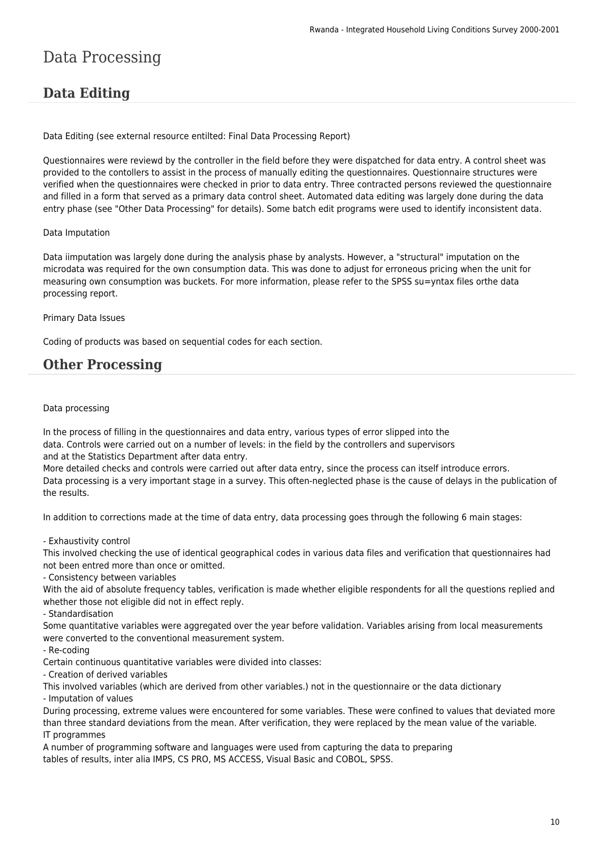# Data Processing

# **Data Editing**

Data Editing (see external resource entilted: Final Data Processing Report)

Questionnaires were reviewd by the controller in the field before they were dispatched for data entry. A control sheet was provided to the contollers to assist in the process of manually editing the questionnaires. Questionnaire structures were verified when the questionnaires were checked in prior to data entry. Three contracted persons reviewed the questionnaire and filled in a form that served as a primary data control sheet. Automated data editing was largely done during the data entry phase (see "Other Data Processing" for details). Some batch edit programs were used to identify inconsistent data.

#### Data Imputation

Data iimputation was largely done during the analysis phase by analysts. However, a "structural" imputation on the microdata was required for the own consumption data. This was done to adjust for erroneous pricing when the unit for measuring own consumption was buckets. For more information, please refer to the SPSS su=yntax files orthe data processing report.

#### Primary Data Issues

Coding of products was based on sequential codes for each section.

# **Other Processing**

#### Data processing

In the process of filling in the questionnaires and data entry, various types of error slipped into the data. Controls were carried out on a number of levels: in the field by the controllers and supervisors and at the Statistics Department after data entry.

More detailed checks and controls were carried out after data entry, since the process can itself introduce errors. Data processing is a very important stage in a survey. This often-neglected phase is the cause of delays in the publication of the results.

In addition to corrections made at the time of data entry, data processing goes through the following 6 main stages:

- Exhaustivity control

This involved checking the use of identical geographical codes in various data files and verification that questionnaires had not been entred more than once or omitted.

- Consistency between variables

With the aid of absolute frequency tables, verification is made whether eligible respondents for all the questions replied and whether those not eligible did not in effect reply.

- Standardisation

Some quantitative variables were aggregated over the year before validation. Variables arising from local measurements were converted to the conventional measurement system.

- Re-coding

Certain continuous quantitative variables were divided into classes:

- Creation of derived variables

This involved variables (which are derived from other variables.) not in the questionnaire or the data dictionary

- Imputation of values

During processing, extreme values were encountered for some variables. These were confined to values that deviated more than three standard deviations from the mean. After verification, they were replaced by the mean value of the variable. IT programmes

A number of programming software and languages were used from capturing the data to preparing tables of results, inter alia IMPS, CS PRO, MS ACCESS, Visual Basic and COBOL, SPSS.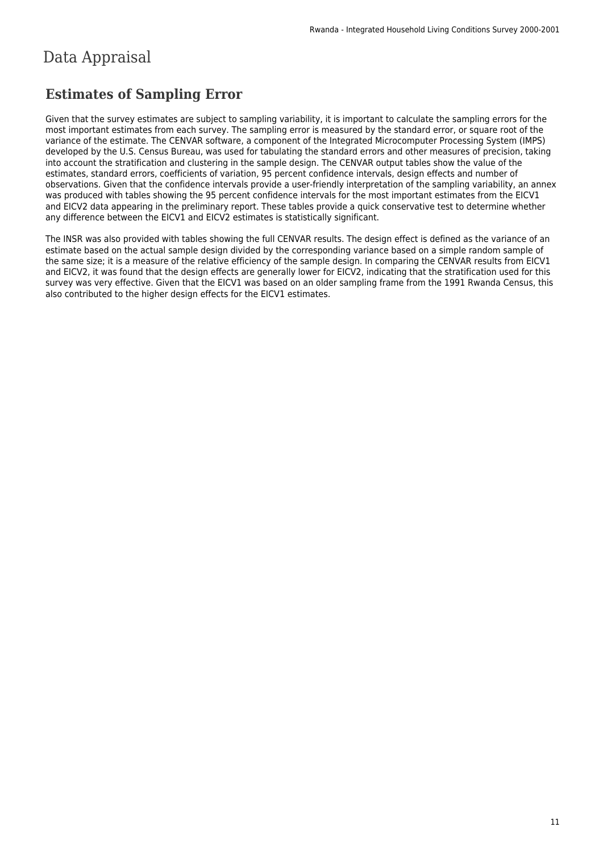# Data Appraisal

# **Estimates of Sampling Error**

Given that the survey estimates are subject to sampling variability, it is important to calculate the sampling errors for the most important estimates from each survey. The sampling error is measured by the standard error, or square root of the variance of the estimate. The CENVAR software, a component of the Integrated Microcomputer Processing System (IMPS) developed by the U.S. Census Bureau, was used for tabulating the standard errors and other measures of precision, taking into account the stratification and clustering in the sample design. The CENVAR output tables show the value of the estimates, standard errors, coefficients of variation, 95 percent confidence intervals, design effects and number of observations. Given that the confidence intervals provide a user-friendly interpretation of the sampling variability, an annex was produced with tables showing the 95 percent confidence intervals for the most important estimates from the EICV1 and EICV2 data appearing in the preliminary report. These tables provide a quick conservative test to determine whether any difference between the EICV1 and EICV2 estimates is statistically significant.

The INSR was also provided with tables showing the full CENVAR results. The design effect is defined as the variance of an estimate based on the actual sample design divided by the corresponding variance based on a simple random sample of the same size; it is a measure of the relative efficiency of the sample design. In comparing the CENVAR results from EICV1 and EICV2, it was found that the design effects are generally lower for EICV2, indicating that the stratification used for this survey was very effective. Given that the EICV1 was based on an older sampling frame from the 1991 Rwanda Census, this also contributed to the higher design effects for the EICV1 estimates.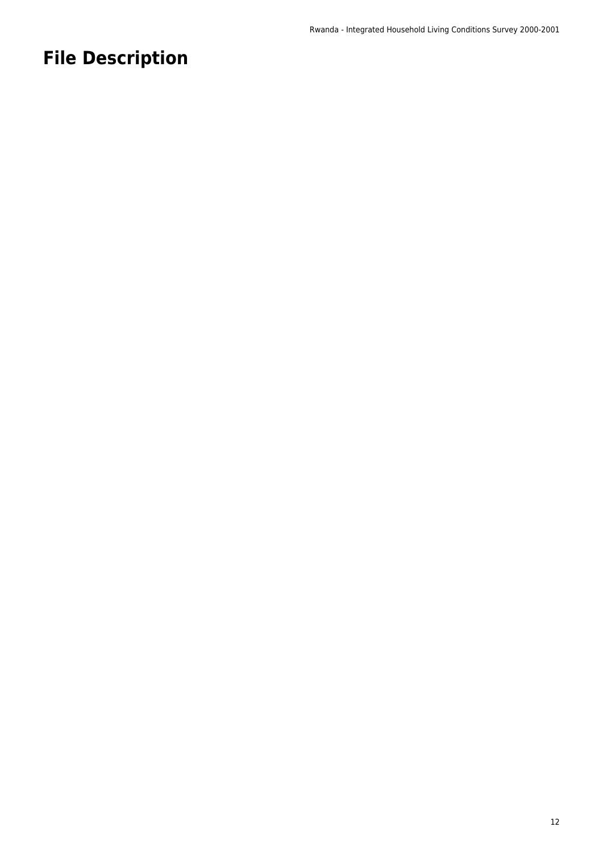# **File Description**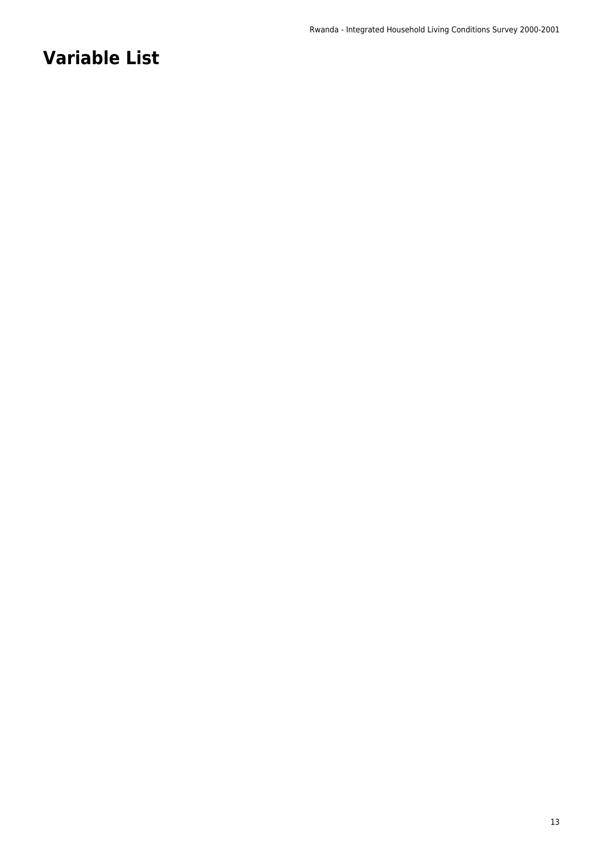# **Variable List**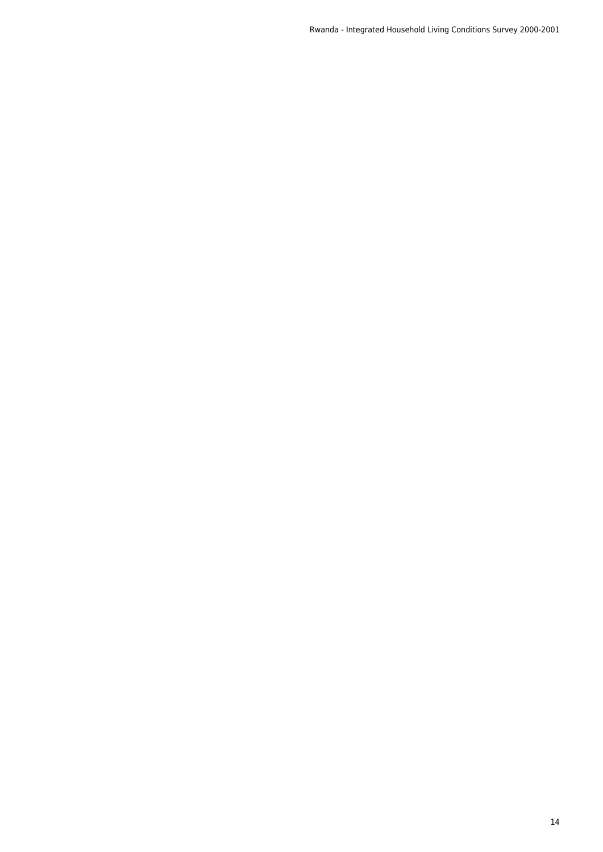Rwanda - Integrated Household Living Conditions Survey 2000-2001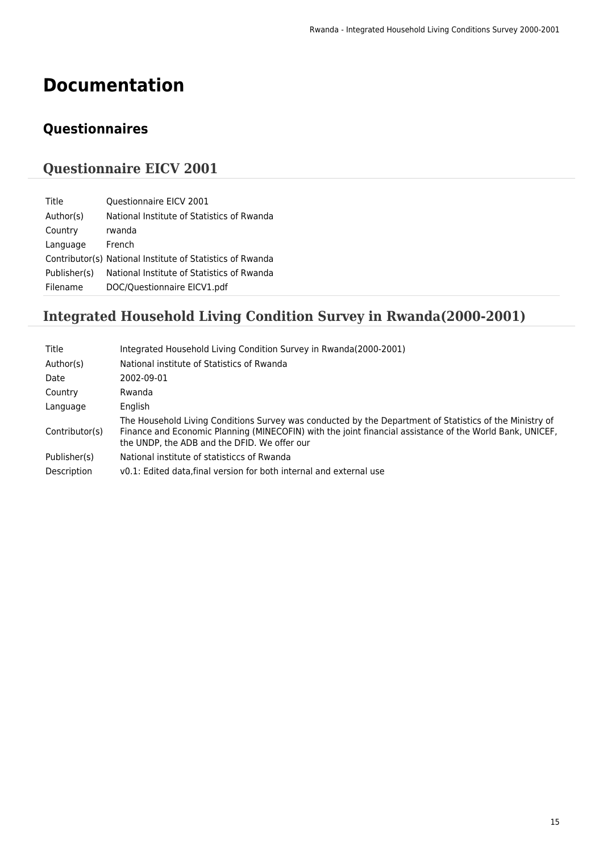# **Documentation**

# **Questionnaires**

# **Questionnaire EICV 2001**

| Title        | Questionnaire EICV 2001                                   |
|--------------|-----------------------------------------------------------|
| Author(s)    | National Institute of Statistics of Rwanda                |
| Country      | rwanda                                                    |
| Language     | French                                                    |
|              | Contributor(s) National Institute of Statistics of Rwanda |
| Publisher(s) | National Institute of Statistics of Rwanda                |
| Filename     | DOC/Questionnaire EICV1.pdf                               |

# **Integrated Household Living Condition Survey in Rwanda(2000-2001)**

| Title          | Integrated Household Living Condition Survey in Rwanda(2000-2001)                                                                                                                                                                                                   |
|----------------|---------------------------------------------------------------------------------------------------------------------------------------------------------------------------------------------------------------------------------------------------------------------|
| Author(s)      | National institute of Statistics of Rwanda                                                                                                                                                                                                                          |
| Date           | 2002-09-01                                                                                                                                                                                                                                                          |
| Country        | Rwanda                                                                                                                                                                                                                                                              |
| Language       | English                                                                                                                                                                                                                                                             |
| Contributor(s) | The Household Living Conditions Survey was conducted by the Department of Statistics of the Ministry of<br>Finance and Economic Planning (MINECOFIN) with the joint financial assistance of the World Bank, UNICEF,<br>the UNDP, the ADB and the DFID. We offer our |
| Publisher(s)   | National institute of statisticcs of Rwanda                                                                                                                                                                                                                         |
| Description    | v0.1: Edited data, final version for both internal and external use                                                                                                                                                                                                 |